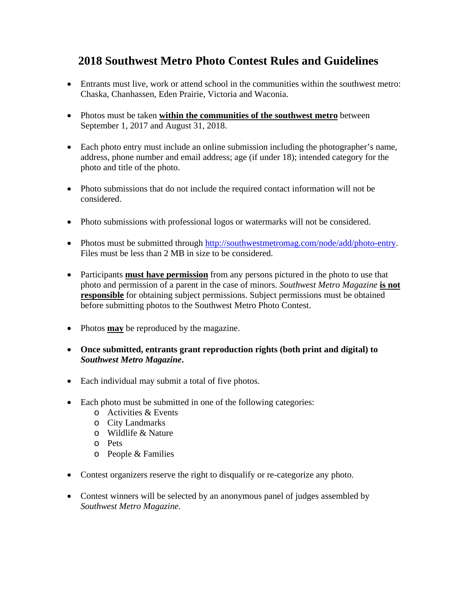## **2018 Southwest Metro Photo Contest Rules and Guidelines**

- Entrants must live, work or attend school in the communities within the southwest metro: Chaska, Chanhassen, Eden Prairie, Victoria and Waconia.
- Photos must be taken **within the communities of the southwest metro** between September 1, 2017 and August 31, 2018.
- Each photo entry must include an online submission including the photographer's name, address, phone number and email address; age (if under 18); intended category for the photo and title of the photo.
- Photo submissions that do not include the required contact information will not be considered.
- Photo submissions with professional logos or watermarks will not be considered.
- Photos must be submitted through [http://southwestmetromag.com/node/add/photo-entry.](http://southwestmetromag.com/node/add/photo-entry) Files must be less than 2 MB in size to be considered.
- Participants **must have permission** from any persons pictured in the photo to use that photo and permission of a parent in the case of minors. *Southwest Metro Magazine* **is not responsible** for obtaining subject permissions. Subject permissions must be obtained before submitting photos to the Southwest Metro Photo Contest.
- Photos **may** be reproduced by the magazine.
- **Once submitted, entrants grant reproduction rights (both print and digital) to**  *Southwest Metro Magazine***.**
- Each individual may submit a total of five photos.
- Each photo must be submitted in one of the following categories:
	- o Activities & Events
	- o City Landmarks
	- o Wildlife & Nature
	- o Pets
	- o People & Families
- Contest organizers reserve the right to disqualify or re-categorize any photo.
- Contest winners will be selected by an anonymous panel of judges assembled by *Southwest Metro Magazine.*